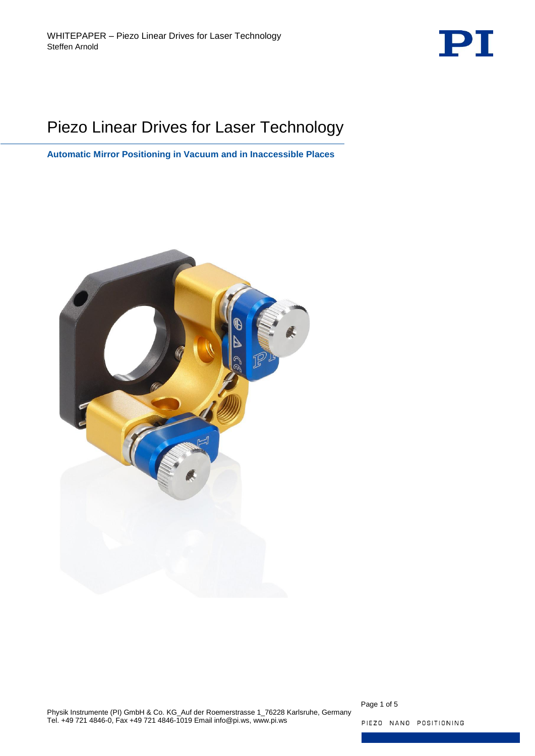

# Piezo Linear Drives for Laser Technology

**Automatic Mirror Positioning in Vacuum and in Inaccessible Places**



Page 1 of 5

PIEZO NANO POSITIONING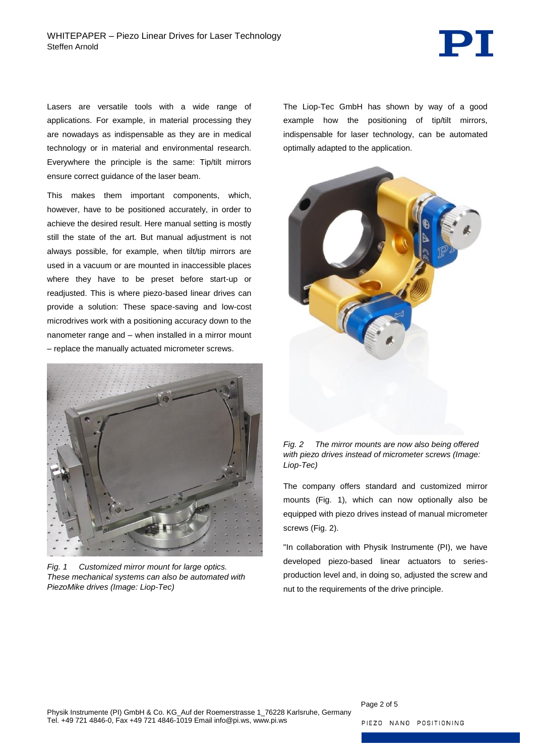

Lasers are versatile tools with a wide range of applications. For example, in material processing they are nowadays as indispensable as they are in medical technology or in material and environmental research. Everywhere the principle is the same: Tip/tilt mirrors ensure correct guidance of the laser beam.

This makes them important components, which, however, have to be positioned accurately, in order to achieve the desired result. Here manual setting is mostly still the state of the art. But manual adjustment is not always possible, for example, when tilt/tip mirrors are used in a vacuum or are mounted in inaccessible places where they have to be preset before start-up or readjusted. This is where piezo-based linear drives can provide a solution: These space-saving and low-cost microdrives work with a positioning accuracy down to the nanometer range and – when installed in a mirror mount – replace the manually actuated micrometer screws.

<span id="page-1-0"></span>

*Fig. 1 Customized mirror mount for large optics. These mechanical systems can also be automated with PiezoMike drives (Image: Liop-Tec)*

The Liop-Tec GmbH has shown by way of a good example how the positioning of tip/tilt mirrors, indispensable for laser technology, can be automated optimally adapted to the application.



<span id="page-1-1"></span>*Fig. 2 The mirror mounts are now also being offered with piezo drives instead of micrometer screws (Image: Liop-Tec)*

The company offers standard and customized mirror mounts [\(Fig. 1\)](#page-1-0), which can now optionally also be equipped with piezo drives instead of manual micrometer screws [\(Fig. 2\)](#page-1-1).

"In collaboration with Physik Instrumente (PI), we have developed piezo-based linear actuators to seriesproduction level and, in doing so, adjusted the screw and nut to the requirements of the drive principle.

Page 2 of 5

PIEZO NANO POSITIONING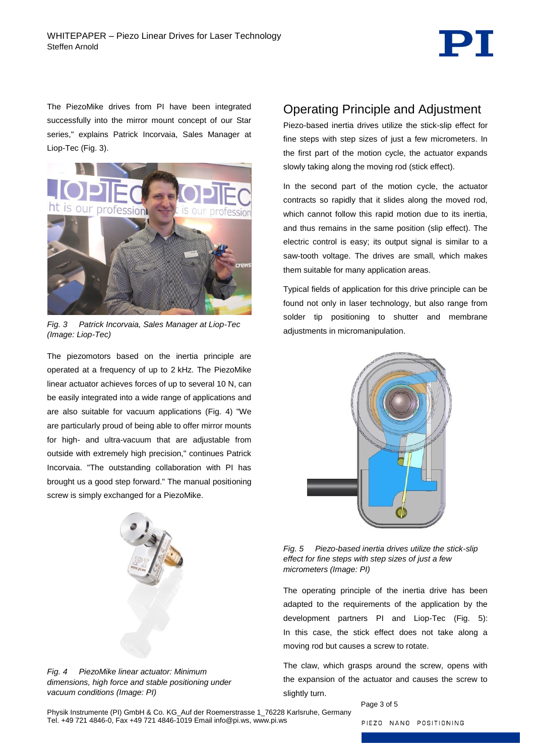

The PiezoMike drives from PI have been integrated successfully into the mirror mount concept of our Star series," explains Patrick Incorvaia, Sales Manager at Liop-Tec [\(Fig. 3\)](#page-2-0).



*Fig. 3 Patrick Incorvaia, Sales Manager at Liop-Tec (Image: Liop-Tec)*

<span id="page-2-0"></span>The piezomotors based on the inertia principle are operated at a frequency of up to 2 kHz. The PiezoMike linear actuator achieves forces of up to several 10 N, can be easily integrated into a wide range of applications and are also suitable for vacuum applications [\(Fig. 4\)](#page-2-1) "We are particularly proud of being able to offer mirror mounts for high- and ultra-vacuum that are adjustable from outside with extremely high precision," continues Patrick Incorvaia. "The outstanding collaboration with PI has brought us a good step forward." The manual positioning screw is simply exchanged for a PiezoMike.



Piezo-based inertia drives utilize the stick-slip effect for fine steps with step sizes of just a few micrometers. In the first part of the motion cycle, the actuator expands slowly taking along the moving rod (stick effect).

In the second part of the motion cycle, the actuator contracts so rapidly that it slides along the moved rod, which cannot follow this rapid motion due to its inertia. and thus remains in the same position (slip effect). The electric control is easy; its output signal is similar to a saw-tooth voltage. The drives are small, which makes them suitable for many application areas.

Typical fields of application for this drive principle can be found not only in laser technology, but also range from solder tip positioning to shutter and membrane adjustments in micromanipulation.



<span id="page-2-2"></span>*Fig. 5 Piezo-based inertia drives utilize the stick-slip effect for fine steps with step sizes of just a few micrometers (Image: PI)*

The operating principle of the inertia drive has been adapted to the requirements of the application by the development partners PI and Liop-Tec [\(Fig. 5\)](#page-2-2): In this case, the stick effect does not take along a moving rod but causes a screw to rotate.

The claw, which grasps around the screw, opens with the expansion of the actuator and causes the screw to slightly turn.

Page 3 of 5

<span id="page-2-1"></span>*Fig. 4 PiezoMike linear actuator: Minimum dimensions, high force and stable positioning under vacuum conditions (Image: PI)*

Physik Instrumente (PI) GmbH & Co. KG\_Auf der Roemerstrasse 1\_76228 Karlsruhe, Germany Tel. +49 721 4846-0, Fax +49 721 4846-1019 Email info@pi.ws, www.pi.ws

PIEZO NANO POSITIONING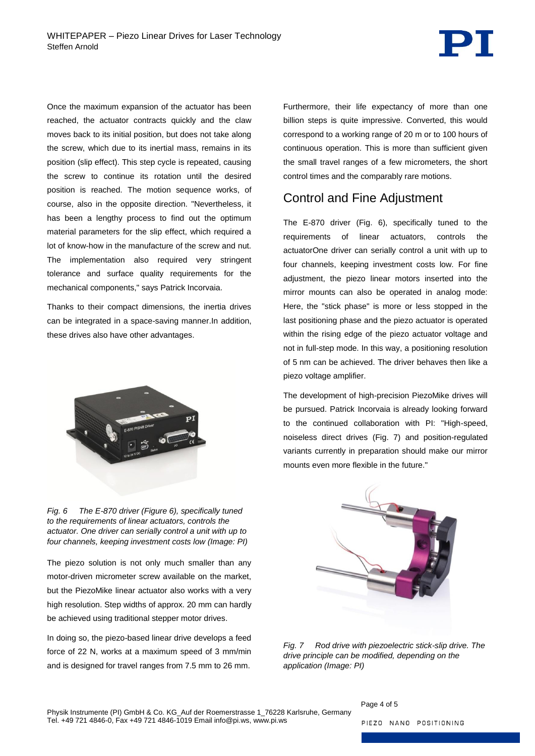

Once the maximum expansion of the actuator has been reached, the actuator contracts quickly and the claw moves back to its initial position, but does not take along the screw, which due to its inertial mass, remains in its position (slip effect). This step cycle is repeated, causing the screw to continue its rotation until the desired position is reached. The motion sequence works, of course, also in the opposite direction. "Nevertheless, it has been a lengthy process to find out the optimum material parameters for the slip effect, which required a lot of know-how in the manufacture of the screw and nut. The implementation also required very stringent tolerance and surface quality requirements for the mechanical components," says Patrick Incorvaia.

Thanks to their compact dimensions, the inertia drives can be integrated in a space-saving manner.In addition, these drives also have other advantages.



*Fig. 6 The E-870 driver (Figure 6), specifically tuned to the requirements of linear actuators, controls the actuator. One driver can serially control a unit with up to four channels, keeping investment costs low (Image: PI)*

<span id="page-3-0"></span>The piezo solution is not only much smaller than any motor-driven micrometer screw available on the market, but the PiezoMike linear actuator also works with a very high resolution. Step widths of approx. 20 mm can hardly be achieved using traditional stepper motor drives.

In doing so, the piezo-based linear drive develops a feed force of 22 N, works at a maximum speed of 3 mm/min and is designed for travel ranges from 7.5 mm to 26 mm.

Furthermore, their life expectancy of more than one billion steps is quite impressive. Converted, this would correspond to a working range of 20 m or to 100 hours of continuous operation. This is more than sufficient given the small travel ranges of a few micrometers, the short control times and the comparably rare motions.

## Control and Fine Adjustment

The E-870 driver [\(Fig. 6\)](#page-3-0), specifically tuned to the requirements of linear actuators, controls the actuatorOne driver can serially control a unit with up to four channels, keeping investment costs low. For fine adjustment, the piezo linear motors inserted into the mirror mounts can also be operated in analog mode: Here, the "stick phase" is more or less stopped in the last positioning phase and the piezo actuator is operated within the rising edge of the piezo actuator voltage and not in full-step mode. In this way, a positioning resolution of 5 nm can be achieved. The driver behaves then like a piezo voltage amplifier.

The development of high-precision PiezoMike drives will be pursued. Patrick Incorvaia is already looking forward to the continued collaboration with PI: "High-speed, noiseless direct drives [\(Fig. 7\)](#page-3-1) and position-regulated variants currently in preparation should make our mirror mounts even more flexible in the future."



*Fig. 7 Rod drive with piezoelectric stick-slip drive. The drive principle can be modified, depending on the application (Image: PI)* 

<span id="page-3-1"></span>Page 4 of 5